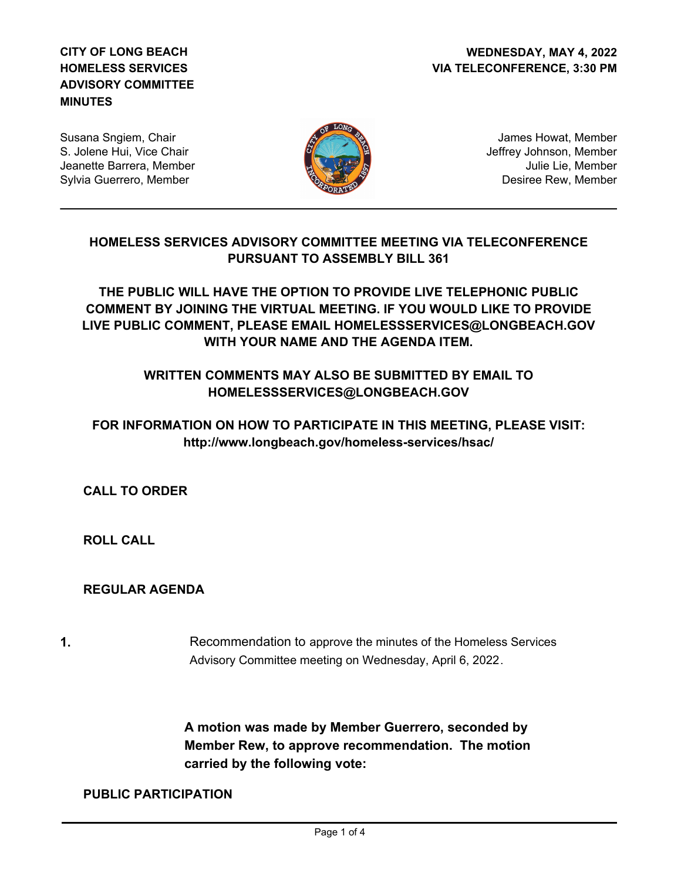## **CITY OF LONG BEACH HOMELESS SERVICES ADVISORY COMMITTEE MINUTES**

Susana Sngiem, Chair S. Jolene Hui, Vice Chair Jeanette Barrera, Member Sylvia Guerrero, Member



James Howat, Member Jeffrey Johnson, Member Julie Lie, Member Desiree Rew, Member

# **HOMELESS SERVICES ADVISORY COMMITTEE MEETING VIA TELECONFERENCE PURSUANT TO ASSEMBLY BILL 361**

**THE PUBLIC WILL HAVE THE OPTION TO PROVIDE LIVE TELEPHONIC PUBLIC COMMENT BY JOINING THE VIRTUAL MEETING. IF YOU WOULD LIKE TO PROVIDE LIVE PUBLIC COMMENT, PLEASE EMAIL HOMELESSSERVICES@LONGBEACH.GOV WITH YOUR NAME AND THE AGENDA ITEM.** 

# **WRITTEN COMMENTS MAY ALSO BE SUBMITTED BY EMAIL TO HOMELESSSERVICES@LONGBEACH.GOV**

# **FOR INFORMATION ON HOW TO PARTICIPATE IN THIS MEETING, PLEASE VISIT: http://www.longbeach.gov/homeless-services/hsac/**

**CALL TO ORDER**

**ROLL CALL**

# **REGULAR AGENDA**

**1.** Recommendation to approve the minutes of the Homeless Services Advisory Committee meeting on Wednesday, April 6, 2022.

> **A motion was made by Member Guerrero, seconded by Member Rew, to approve recommendation. The motion carried by the following vote:**

#### **PUBLIC PARTICIPATION**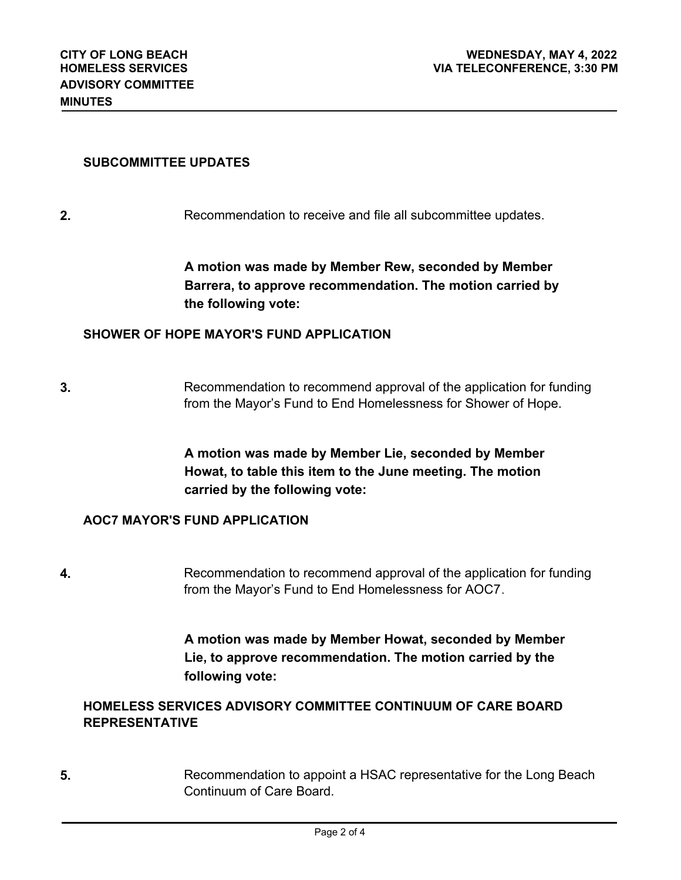## **SUBCOMMITTEE UPDATES**

**2. Recommendation to receive and file all subcommittee updates.** 

**A motion was made by Member Rew, seconded by Member Barrera, to approve recommendation. The motion carried by the following vote:**

### **SHOWER OF HOPE MAYOR'S FUND APPLICATION**

**3.** Recommendation to recommend approval of the application for funding from the Mayor's Fund to End Homelessness for Shower of Hope.

> **A motion was made by Member Lie, seconded by Member Howat, to table this item to the June meeting. The motion carried by the following vote:**

## **AOC7 MAYOR'S FUND APPLICATION**

**4.** Recommendation to recommend approval of the application for funding from the Mayor's Fund to End Homelessness for AOC7.

> **A motion was made by Member Howat, seconded by Member Lie, to approve recommendation. The motion carried by the following vote:**

## **HOMELESS SERVICES ADVISORY COMMITTEE CONTINUUM OF CARE BOARD REPRESENTATIVE**

**5.** Recommendation to appoint a HSAC representative for the Long Beach Continuum of Care Board.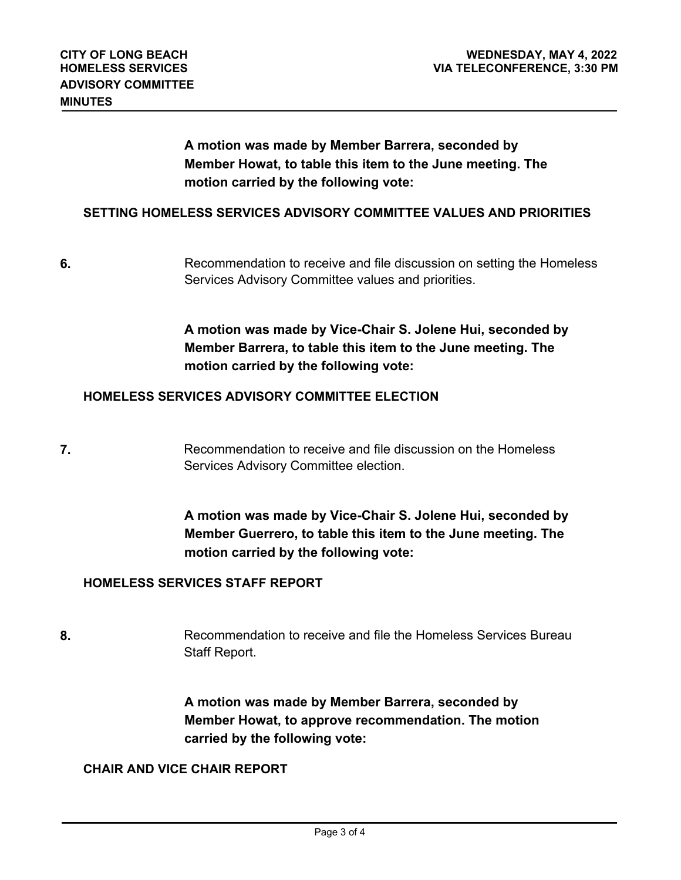**A motion was made by Member Barrera, seconded by Member Howat, to table this item to the June meeting. The motion carried by the following vote:**

#### **SETTING HOMELESS SERVICES ADVISORY COMMITTEE VALUES AND PRIORITIES**

Recommendation to receive and file discussion on setting the Homeless Services Advisory Committee values and priorities. **6.**

> **A motion was made by Vice-Chair S. Jolene Hui, seconded by Member Barrera, to table this item to the June meeting. The motion carried by the following vote:**

### **HOMELESS SERVICES ADVISORY COMMITTEE ELECTION**

**7 Recommendation to receive and file discussion on the Homeless** Services Advisory Committee election.

> **A motion was made by Vice-Chair S. Jolene Hui, seconded by Member Guerrero, to table this item to the June meeting. The motion carried by the following vote:**

### **HOMELESS SERVICES STAFF REPORT**

8. **8.** Recommendation to receive and file the Homeless Services Bureau Staff Report.

> **A motion was made by Member Barrera, seconded by Member Howat, to approve recommendation. The motion carried by the following vote:**

#### **CHAIR AND VICE CHAIR REPORT**